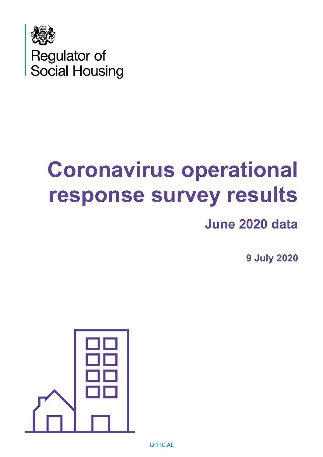

# **Coronavirus operational response survey results**

## **June 2020 data**

**9 July 2020**

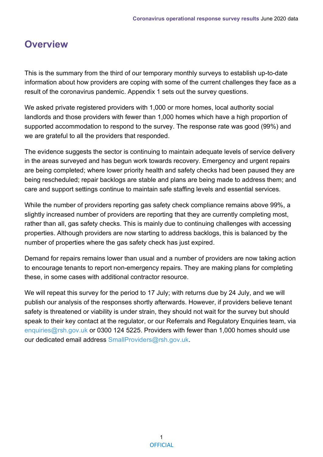### **Overview**

This is the summary from the third of our temporary monthly surveys to establish up-to-date information about how providers are coping with some of the current challenges they face as a result of the coronavirus pandemic. Appendix 1 sets out the survey questions.

We asked private registered providers with 1,000 or more homes, local authority social landlords and those providers with fewer than 1,000 homes which have a high proportion of supported accommodation to respond to the survey. The response rate was good (99%) and we are grateful to all the providers that responded.

The evidence suggests the sector is continuing to maintain adequate levels of service delivery in the areas surveyed and has begun work towards recovery. Emergency and urgent repairs are being completed; where lower priority health and safety checks had been paused they are being rescheduled; repair backlogs are stable and plans are being made to address them; and care and support settings continue to maintain safe staffing levels and essential services.

While the number of providers reporting gas safety check compliance remains above 99%, a slightly increased number of providers are reporting that they are currently completing most, rather than all, gas safety checks. This is mainly due to continuing challenges with accessing properties. Although providers are now starting to address backlogs, this is balanced by the number of properties where the gas safety check has just expired.

Demand for repairs remains lower than usual and a number of providers are now taking action to encourage tenants to report non-emergency repairs. They are making plans for completing these, in some cases with additional contractor resource.

We will repeat this survey for the period to 17 July; with returns due by 24 July, and we will publish our analysis of the responses shortly afterwards. However, if providers believe tenant safety is threatened or viability is under strain, they should not wait for the survey but should speak to their key contact at the regulator, or our Referrals and Regulatory Enquiries team, via [enquiries@rsh.gov.uk](mailto:enquiries@rsh.gov.uk) or 0300 124 5225. Providers with fewer than 1,000 homes should use our dedicated email address [SmallProviders@rsh.gov.uk.](mailto:SmallProviders@rsh.gov.uk)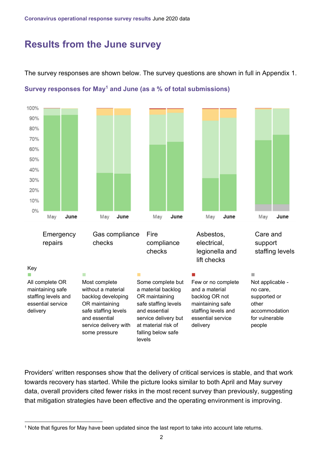#### **Results from the June survey**

The survey responses are shown below. The survey questions are shown in full in Appendix 1.



**Survey responses for May<sup>1</sup> and June (as a % of total submissions)**

Providers' written responses show that the delivery of critical services is stable, and that work towards recovery has started. While the picture looks similar to both April and May survey data, overall providers cited fewer risks in the most recent survey than previously, suggesting that mitigation strategies have been effective and the operating environment is improving.

<sup>1</sup> Note that figures for May have been updated since the last report to take into account late returns.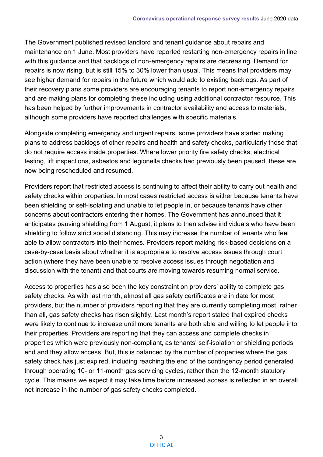The Government published revised landlord and tenant guidance about repairs and maintenance on 1 June. Most providers have reported restarting non-emergency repairs in line with this guidance and that backlogs of non-emergency repairs are decreasing. Demand for repairs is now rising, but is still 15% to 30% lower than usual. This means that providers may see higher demand for repairs in the future which would add to existing backlogs. As part of their recovery plans some providers are encouraging tenants to report non-emergency repairs and are making plans for completing these including using additional contractor resource. This has been helped by further improvements in contractor availability and access to materials, although some providers have reported challenges with specific materials.

Alongside completing emergency and urgent repairs, some providers have started making plans to address backlogs of other repairs and health and safety checks, particularly those that do not require access inside properties. Where lower priority fire safety checks, electrical testing, lift inspections, asbestos and legionella checks had previously been paused, these are now being rescheduled and resumed.

Providers report that restricted access is continuing to affect their ability to carry out health and safety checks within properties. In most cases restricted access is either because tenants have been shielding or self-isolating and unable to let people in, or because tenants have other concerns about contractors entering their homes. The Government has announced that it anticipates pausing shielding from 1 August; it plans to then advise individuals who have been shielding to follow strict social distancing. This may increase the number of tenants who feel able to allow contractors into their homes. Providers report making risk-based decisions on a case-by-case basis about whether it is appropriate to resolve access issues through court action (where they have been unable to resolve access issues through negotiation and discussion with the tenant) and that courts are moving towards resuming normal service.

Access to properties has also been the key constraint on providers' ability to complete gas safety checks. As with last month, almost all gas safety certificates are in date for most providers, but the number of providers reporting that they are currently completing most, rather than all, gas safety checks has risen slightly. Last month's report stated that expired checks were likely to continue to increase until more tenants are both able and willing to let people into their properties. Providers are reporting that they can access and complete checks in properties which were previously non-compliant, as tenants' self-isolation or shielding periods end and they allow access. But, this is balanced by the number of properties where the gas safety check has just expired, including reaching the end of the contingency period generated through operating 10- or 11-month gas servicing cycles, rather than the 12-month statutory cycle. This means we expect it may take time before increased access is reflected in an overall net increase in the number of gas safety checks completed.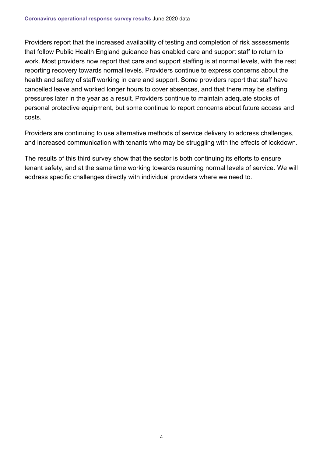Providers report that the increased availability of testing and completion of risk assessments that follow Public Health England guidance has enabled care and support staff to return to work. Most providers now report that care and support staffing is at normal levels, with the rest reporting recovery towards normal levels. Providers continue to express concerns about the health and safety of staff working in care and support. Some providers report that staff have cancelled leave and worked longer hours to cover absences, and that there may be staffing pressures later in the year as a result. Providers continue to maintain adequate stocks of personal protective equipment, but some continue to report concerns about future access and costs.

Providers are continuing to use alternative methods of service delivery to address challenges, and increased communication with tenants who may be struggling with the effects of lockdown.

The results of this third survey show that the sector is both continuing its efforts to ensure tenant safety, and at the same time working towards resuming normal levels of service. We will address specific challenges directly with individual providers where we need to.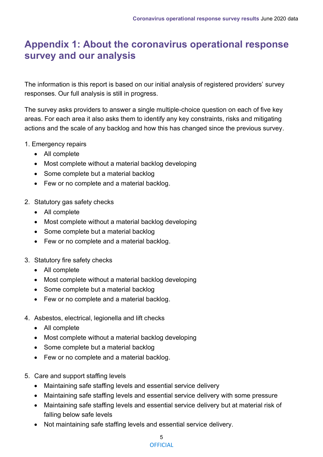### **Appendix 1: About the coronavirus operational response survey and our analysis**

The information is this report is based on our initial analysis of registered providers' survey responses. Our full analysis is still in progress.

The survey asks providers to answer a single multiple-choice question on each of five key areas. For each area it also asks them to identify any key constraints, risks and mitigating actions and the scale of any backlog and how this has changed since the previous survey.

- 1. Emergency repairs
	- All complete
	- Most complete without a material backlog developing
	- Some complete but a material backlog
	- Few or no complete and a material backlog.
- 2. Statutory gas safety checks
	- All complete
	- Most complete without a material backlog developing
	- Some complete but a material backlog
	- Few or no complete and a material backlog.
- 3. Statutory fire safety checks
	- All complete
	- Most complete without a material backlog developing
	- Some complete but a material backlog
	- Few or no complete and a material backlog.
- 4. Asbestos, electrical, legionella and lift checks
	- All complete
	- Most complete without a material backlog developing
	- Some complete but a material backlog
	- Few or no complete and a material backlog.
- 5. Care and support staffing levels
	- Maintaining safe staffing levels and essential service delivery
	- Maintaining safe staffing levels and essential service delivery with some pressure
	- Maintaining safe staffing levels and essential service delivery but at material risk of falling below safe levels
	- Not maintaining safe staffing levels and essential service delivery.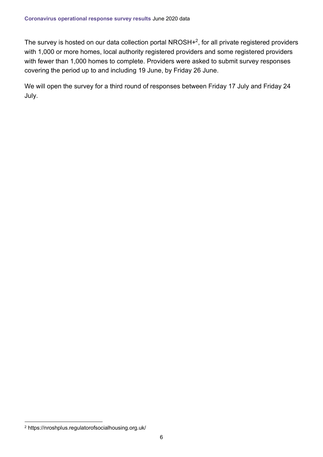The survey is hosted on our data collection portal NROSH $+^2$ , for all private registered providers with 1,000 or more homes, local authority registered providers and some registered providers with fewer than 1,000 homes to complete. Providers were asked to submit survey responses covering the period up to and including 19 June, by Friday 26 June.

We will open the survey for a third round of responses between Friday 17 July and Friday 24 July.

<sup>2</sup> https://nroshplus.regulatorofsocialhousing.org.uk/